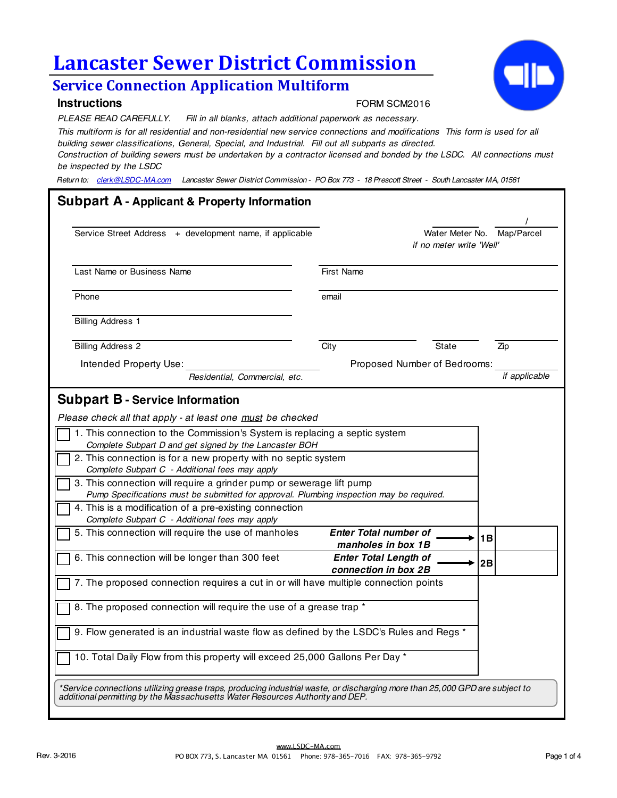# **Lancaster Sewer District Commission**

# **Service Connection Application Multiform**

### **Instructions**

#### FORM SCM2016

*PLEASE READ CAREFULLY. Fill in all blanks, attach additional paperwork as necessary.*

*This multiform is for all residential and non-residential new service connections and modifications This form is used for all building sewer classifications, General, Special, and Industrial. Fill out all subparts as directed.* 

*Construction of building sewers must be undertaken by a contractor licensed and bonded by the LSDC. All connections must be inspected by the LSDC*

*Return to: clerk@LSDC-MA.com Lancaster Sewer District Commission - PO Box 773 - 18 Prescott Street - South Lancaster MA, 01561*

| Service Street Address + development name, if applicable                                                                                                                                                                                                                                                                                                                              |                   | Water Meter No. Map/Parcel<br>if no meter write 'Well' |          |               |
|---------------------------------------------------------------------------------------------------------------------------------------------------------------------------------------------------------------------------------------------------------------------------------------------------------------------------------------------------------------------------------------|-------------------|--------------------------------------------------------|----------|---------------|
| Last Name or Business Name                                                                                                                                                                                                                                                                                                                                                            | <b>First Name</b> |                                                        |          |               |
| Phone                                                                                                                                                                                                                                                                                                                                                                                 | email             |                                                        |          |               |
| <b>Billing Address 1</b>                                                                                                                                                                                                                                                                                                                                                              |                   |                                                        |          |               |
| <b>Billing Address 2</b>                                                                                                                                                                                                                                                                                                                                                              | City              |                                                        | State    | Zip           |
| Intended Property Use:                                                                                                                                                                                                                                                                                                                                                                |                   | Proposed Number of Bedrooms:                           |          |               |
| Residential, Commercial, etc.                                                                                                                                                                                                                                                                                                                                                         |                   |                                                        |          | if applicable |
| 1. This connection to the Commission's System is replacing a septic system<br>Complete Subpart D and get signed by the Lancaster BOH<br>2. This connection is for a new property with no septic system                                                                                                                                                                                |                   |                                                        |          |               |
| Complete Subpart C - Additional fees may apply<br>3. This connection will require a grinder pump or sewerage lift pump<br>Pump Specifications must be submitted for approval. Plumbing inspection may be required.<br>4. This is a modification of a pre-existing connection<br>Complete Subpart C - Additional fees may apply<br>5. This connection will require the use of manholes |                   | <b>Enter Total number of</b>                           |          |               |
| 6. This connection will be longer than 300 feet                                                                                                                                                                                                                                                                                                                                       |                   | manholes in box 1B<br><b>Enter Total Length of</b>     | 1B<br>2B |               |
| 7. The proposed connection requires a cut in or will have multiple connection points                                                                                                                                                                                                                                                                                                  |                   | connection in box 2B                                   |          |               |
| 8. The proposed connection will require the use of a grease trap *                                                                                                                                                                                                                                                                                                                    |                   |                                                        |          |               |
| 9. Flow generated is an industrial waste flow as defined by the LSDC's Rules and Regs *                                                                                                                                                                                                                                                                                               |                   |                                                        |          |               |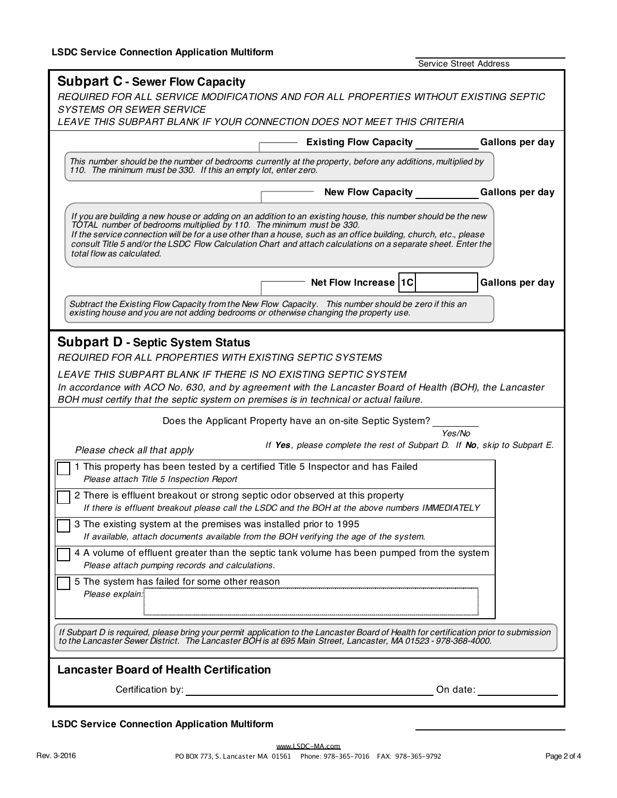| <b>Subpart C - Sewer Flow Capacity</b><br>REQUIRED FOR ALL SERVICE MODIFICATIONS AND FOR ALL PROPERTIES WITHOUT EXISTING SEPTIC<br><b>SYSTEMS OR SEWER SERVICE</b><br>LEAVE THIS SUBPART BLANK IF YOUR CONNECTION DOES NOT MEET THIS CRITERIA<br>Gallons per day<br><b>Existing Flow Capacity</b><br>This number should be the number of bedrooms currently at the property, before any additions, multiplied by<br>110. The minimum must be 330. If this an empty lot, enter zero.<br>Gallons per day<br><b>New Flow Capacity</b><br>If you are building a new house or adding on an addition to an existing house, this number should be the new<br>TOTAL number of bedrooms multiplied by 110. The minimum must be 330.<br>If the service connection will be for a use other than a house, such as an office building, church, etc., please<br>consult Title 5 and/or the LSDC Flow Calculation Chart and attach calculations on a separate sheet. Enter the<br>total flow as calculated.<br>Net Flow Increase  1C<br>Gallons per day<br>Subtract the Existing Flow Capacity from the New Flow Capacity. This number should be zero if this an<br>existing house and you are not adding bedrooms or otherwise changing the property use.<br><b>Subpart D - Septic System Status</b><br>REQUIRED FOR ALL PROPERTIES WITH EXISTING SEPTIC SYSTEMS<br>LEAVE THIS SUBPART BLANK IF THERE IS NO EXISTING SEPTIC SYSTEM<br>In accordance with ACO No. 630, and by agreement with the Lancaster Board of Health (BOH), the Lancaster<br>BOH must certify that the septic system on premises is in technical or actual failure.<br>Does the Applicant Property have an on-site Septic System?<br>Yes/No<br>If Yes, please complete the rest of Subpart D. If No, skip to Subpart E.<br>Please check all that apply<br>1 This property has been tested by a certified Title 5 Inspector and has Failed<br>Please attach Title 5 Inspection Report<br>2 There is effluent breakout or strong septic odor observed at this property<br>If there is effluent breakout please call the LSDC and the BOH at the above numbers IMMEDIATELY<br>3 The existing system at the premises was installed prior to 1995<br>If available, attach documents available from the BOH verifying the age of the system.<br>4 A volume of effluent greater than the septic tank volume has been pumped from the system<br>Please attach pumping records and calculations.<br>5 The system has failed for some other reason<br>Please explain:<br>If Subpart D is required, please bring your permit application to the Lancaster Board of Health for certification prior to submission<br>to the Lancaster Sewer District. The Lancaster BOH is at 695 Main Street, Lancaster, MA 01523 - 978-368-4000.<br><b>Lancaster Board of Health Certification</b><br>On date: | <b>Service Street Address</b> |  |
|--------------------------------------------------------------------------------------------------------------------------------------------------------------------------------------------------------------------------------------------------------------------------------------------------------------------------------------------------------------------------------------------------------------------------------------------------------------------------------------------------------------------------------------------------------------------------------------------------------------------------------------------------------------------------------------------------------------------------------------------------------------------------------------------------------------------------------------------------------------------------------------------------------------------------------------------------------------------------------------------------------------------------------------------------------------------------------------------------------------------------------------------------------------------------------------------------------------------------------------------------------------------------------------------------------------------------------------------------------------------------------------------------------------------------------------------------------------------------------------------------------------------------------------------------------------------------------------------------------------------------------------------------------------------------------------------------------------------------------------------------------------------------------------------------------------------------------------------------------------------------------------------------------------------------------------------------------------------------------------------------------------------------------------------------------------------------------------------------------------------------------------------------------------------------------------------------------------------------------------------------------------------------------------------------------------------------------------------------------------------------------------------------------------------------------------------------------------------------------------------------------------------------------------------------------------------------------------------------------------------------------------------------------------------------------------------------------------------------------------------------------------------------------------------------------------------------------------------|-------------------------------|--|
|                                                                                                                                                                                                                                                                                                                                                                                                                                                                                                                                                                                                                                                                                                                                                                                                                                                                                                                                                                                                                                                                                                                                                                                                                                                                                                                                                                                                                                                                                                                                                                                                                                                                                                                                                                                                                                                                                                                                                                                                                                                                                                                                                                                                                                                                                                                                                                                                                                                                                                                                                                                                                                                                                                                                                                                                                                            |                               |  |
|                                                                                                                                                                                                                                                                                                                                                                                                                                                                                                                                                                                                                                                                                                                                                                                                                                                                                                                                                                                                                                                                                                                                                                                                                                                                                                                                                                                                                                                                                                                                                                                                                                                                                                                                                                                                                                                                                                                                                                                                                                                                                                                                                                                                                                                                                                                                                                                                                                                                                                                                                                                                                                                                                                                                                                                                                                            |                               |  |
|                                                                                                                                                                                                                                                                                                                                                                                                                                                                                                                                                                                                                                                                                                                                                                                                                                                                                                                                                                                                                                                                                                                                                                                                                                                                                                                                                                                                                                                                                                                                                                                                                                                                                                                                                                                                                                                                                                                                                                                                                                                                                                                                                                                                                                                                                                                                                                                                                                                                                                                                                                                                                                                                                                                                                                                                                                            |                               |  |
|                                                                                                                                                                                                                                                                                                                                                                                                                                                                                                                                                                                                                                                                                                                                                                                                                                                                                                                                                                                                                                                                                                                                                                                                                                                                                                                                                                                                                                                                                                                                                                                                                                                                                                                                                                                                                                                                                                                                                                                                                                                                                                                                                                                                                                                                                                                                                                                                                                                                                                                                                                                                                                                                                                                                                                                                                                            |                               |  |
|                                                                                                                                                                                                                                                                                                                                                                                                                                                                                                                                                                                                                                                                                                                                                                                                                                                                                                                                                                                                                                                                                                                                                                                                                                                                                                                                                                                                                                                                                                                                                                                                                                                                                                                                                                                                                                                                                                                                                                                                                                                                                                                                                                                                                                                                                                                                                                                                                                                                                                                                                                                                                                                                                                                                                                                                                                            |                               |  |
|                                                                                                                                                                                                                                                                                                                                                                                                                                                                                                                                                                                                                                                                                                                                                                                                                                                                                                                                                                                                                                                                                                                                                                                                                                                                                                                                                                                                                                                                                                                                                                                                                                                                                                                                                                                                                                                                                                                                                                                                                                                                                                                                                                                                                                                                                                                                                                                                                                                                                                                                                                                                                                                                                                                                                                                                                                            |                               |  |
|                                                                                                                                                                                                                                                                                                                                                                                                                                                                                                                                                                                                                                                                                                                                                                                                                                                                                                                                                                                                                                                                                                                                                                                                                                                                                                                                                                                                                                                                                                                                                                                                                                                                                                                                                                                                                                                                                                                                                                                                                                                                                                                                                                                                                                                                                                                                                                                                                                                                                                                                                                                                                                                                                                                                                                                                                                            |                               |  |
|                                                                                                                                                                                                                                                                                                                                                                                                                                                                                                                                                                                                                                                                                                                                                                                                                                                                                                                                                                                                                                                                                                                                                                                                                                                                                                                                                                                                                                                                                                                                                                                                                                                                                                                                                                                                                                                                                                                                                                                                                                                                                                                                                                                                                                                                                                                                                                                                                                                                                                                                                                                                                                                                                                                                                                                                                                            |                               |  |
|                                                                                                                                                                                                                                                                                                                                                                                                                                                                                                                                                                                                                                                                                                                                                                                                                                                                                                                                                                                                                                                                                                                                                                                                                                                                                                                                                                                                                                                                                                                                                                                                                                                                                                                                                                                                                                                                                                                                                                                                                                                                                                                                                                                                                                                                                                                                                                                                                                                                                                                                                                                                                                                                                                                                                                                                                                            |                               |  |
|                                                                                                                                                                                                                                                                                                                                                                                                                                                                                                                                                                                                                                                                                                                                                                                                                                                                                                                                                                                                                                                                                                                                                                                                                                                                                                                                                                                                                                                                                                                                                                                                                                                                                                                                                                                                                                                                                                                                                                                                                                                                                                                                                                                                                                                                                                                                                                                                                                                                                                                                                                                                                                                                                                                                                                                                                                            |                               |  |
|                                                                                                                                                                                                                                                                                                                                                                                                                                                                                                                                                                                                                                                                                                                                                                                                                                                                                                                                                                                                                                                                                                                                                                                                                                                                                                                                                                                                                                                                                                                                                                                                                                                                                                                                                                                                                                                                                                                                                                                                                                                                                                                                                                                                                                                                                                                                                                                                                                                                                                                                                                                                                                                                                                                                                                                                                                            |                               |  |
|                                                                                                                                                                                                                                                                                                                                                                                                                                                                                                                                                                                                                                                                                                                                                                                                                                                                                                                                                                                                                                                                                                                                                                                                                                                                                                                                                                                                                                                                                                                                                                                                                                                                                                                                                                                                                                                                                                                                                                                                                                                                                                                                                                                                                                                                                                                                                                                                                                                                                                                                                                                                                                                                                                                                                                                                                                            |                               |  |
|                                                                                                                                                                                                                                                                                                                                                                                                                                                                                                                                                                                                                                                                                                                                                                                                                                                                                                                                                                                                                                                                                                                                                                                                                                                                                                                                                                                                                                                                                                                                                                                                                                                                                                                                                                                                                                                                                                                                                                                                                                                                                                                                                                                                                                                                                                                                                                                                                                                                                                                                                                                                                                                                                                                                                                                                                                            |                               |  |
|                                                                                                                                                                                                                                                                                                                                                                                                                                                                                                                                                                                                                                                                                                                                                                                                                                                                                                                                                                                                                                                                                                                                                                                                                                                                                                                                                                                                                                                                                                                                                                                                                                                                                                                                                                                                                                                                                                                                                                                                                                                                                                                                                                                                                                                                                                                                                                                                                                                                                                                                                                                                                                                                                                                                                                                                                                            |                               |  |
|                                                                                                                                                                                                                                                                                                                                                                                                                                                                                                                                                                                                                                                                                                                                                                                                                                                                                                                                                                                                                                                                                                                                                                                                                                                                                                                                                                                                                                                                                                                                                                                                                                                                                                                                                                                                                                                                                                                                                                                                                                                                                                                                                                                                                                                                                                                                                                                                                                                                                                                                                                                                                                                                                                                                                                                                                                            |                               |  |
|                                                                                                                                                                                                                                                                                                                                                                                                                                                                                                                                                                                                                                                                                                                                                                                                                                                                                                                                                                                                                                                                                                                                                                                                                                                                                                                                                                                                                                                                                                                                                                                                                                                                                                                                                                                                                                                                                                                                                                                                                                                                                                                                                                                                                                                                                                                                                                                                                                                                                                                                                                                                                                                                                                                                                                                                                                            |                               |  |
|                                                                                                                                                                                                                                                                                                                                                                                                                                                                                                                                                                                                                                                                                                                                                                                                                                                                                                                                                                                                                                                                                                                                                                                                                                                                                                                                                                                                                                                                                                                                                                                                                                                                                                                                                                                                                                                                                                                                                                                                                                                                                                                                                                                                                                                                                                                                                                                                                                                                                                                                                                                                                                                                                                                                                                                                                                            |                               |  |
|                                                                                                                                                                                                                                                                                                                                                                                                                                                                                                                                                                                                                                                                                                                                                                                                                                                                                                                                                                                                                                                                                                                                                                                                                                                                                                                                                                                                                                                                                                                                                                                                                                                                                                                                                                                                                                                                                                                                                                                                                                                                                                                                                                                                                                                                                                                                                                                                                                                                                                                                                                                                                                                                                                                                                                                                                                            |                               |  |
|                                                                                                                                                                                                                                                                                                                                                                                                                                                                                                                                                                                                                                                                                                                                                                                                                                                                                                                                                                                                                                                                                                                                                                                                                                                                                                                                                                                                                                                                                                                                                                                                                                                                                                                                                                                                                                                                                                                                                                                                                                                                                                                                                                                                                                                                                                                                                                                                                                                                                                                                                                                                                                                                                                                                                                                                                                            |                               |  |
|                                                                                                                                                                                                                                                                                                                                                                                                                                                                                                                                                                                                                                                                                                                                                                                                                                                                                                                                                                                                                                                                                                                                                                                                                                                                                                                                                                                                                                                                                                                                                                                                                                                                                                                                                                                                                                                                                                                                                                                                                                                                                                                                                                                                                                                                                                                                                                                                                                                                                                                                                                                                                                                                                                                                                                                                                                            |                               |  |

## **LSDC Service Connection Application Multiform**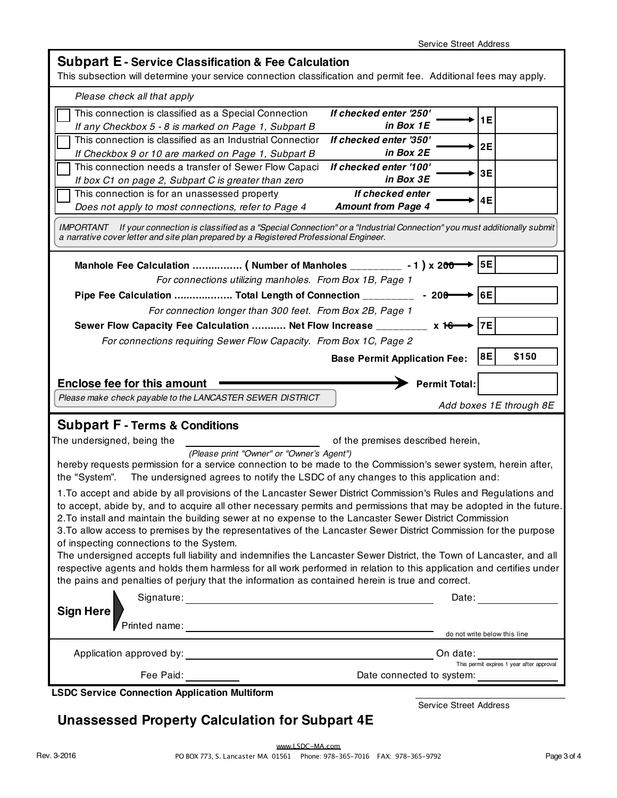|  |  |  | <b>Subpart E - Service Classification &amp; Fee Calculation</b> |  |  |  |
|--|--|--|-----------------------------------------------------------------|--|--|--|
|--|--|--|-----------------------------------------------------------------|--|--|--|

This subsection will determine your service connection classification and permit fee. Additional fees may apply.

| Please check all that apply                                                                                                                                                                                                                                                                                                                                                                                                                                                                                     |                                               |                                                       |  |  |  |  |
|-----------------------------------------------------------------------------------------------------------------------------------------------------------------------------------------------------------------------------------------------------------------------------------------------------------------------------------------------------------------------------------------------------------------------------------------------------------------------------------------------------------------|-----------------------------------------------|-------------------------------------------------------|--|--|--|--|
| This connection is classified as a Special Connection<br>If any Checkbox 5 - 8 is marked on Page 1, Subpart B                                                                                                                                                                                                                                                                                                                                                                                                   | If checked enter '250'<br>in Box 1E           | 1E                                                    |  |  |  |  |
| This connection is classified as an Industrial Connectior<br>If Checkbox 9 or 10 are marked on Page 1, Subpart B                                                                                                                                                                                                                                                                                                                                                                                                | If checked enter '350'<br>in Box 2E           | 2E                                                    |  |  |  |  |
| This connection needs a transfer of Sewer Flow Capaci<br>If box C1 on page 2, Subpart C is greater than zero                                                                                                                                                                                                                                                                                                                                                                                                    | If checked enter '100'<br>in Box 3E           | 3E                                                    |  |  |  |  |
| This connection is for an unassessed property<br>Does not apply to most connections, refer to Page 4                                                                                                                                                                                                                                                                                                                                                                                                            | If checked enter<br><b>Amount from Page 4</b> | 4E                                                    |  |  |  |  |
| If your connection is classified as a "Special Connection" or a "Industrial Connection" you must additionally submit<br>IMPORTANT<br>a narrative cover letter and site plan prepared by a Registered Professional Engineer.                                                                                                                                                                                                                                                                                     |                                               |                                                       |  |  |  |  |
| Manhole Fee Calculation  ( Number of Manholes _________<br>For connections utilizing manholes. From Box 1B, Page 1                                                                                                                                                                                                                                                                                                                                                                                              | $-1$ ) x 200                                  | <b>5E</b>                                             |  |  |  |  |
| Pipe Fee Calculation  Total Length of Connection _____                                                                                                                                                                                                                                                                                                                                                                                                                                                          | $-200$                                        | 6E                                                    |  |  |  |  |
| For connection longer than 300 feet. From Box 2B, Page 1                                                                                                                                                                                                                                                                                                                                                                                                                                                        |                                               |                                                       |  |  |  |  |
| Sewer Flow Capacity Fee Calculation  Net Flow Increase _________                                                                                                                                                                                                                                                                                                                                                                                                                                                | $x$ 16                                        | 7E                                                    |  |  |  |  |
| For connections requiring Sewer Flow Capacity. From Box 1C, Page 2                                                                                                                                                                                                                                                                                                                                                                                                                                              |                                               | \$150<br>8E                                           |  |  |  |  |
|                                                                                                                                                                                                                                                                                                                                                                                                                                                                                                                 | <b>Base Permit Application Fee:</b>           |                                                       |  |  |  |  |
| <b>Enclose fee for this amount</b><br><b>Permit Total:</b>                                                                                                                                                                                                                                                                                                                                                                                                                                                      |                                               |                                                       |  |  |  |  |
|                                                                                                                                                                                                                                                                                                                                                                                                                                                                                                                 |                                               |                                                       |  |  |  |  |
| Please make check payable to the LANCASTER SEWER DISTRICT                                                                                                                                                                                                                                                                                                                                                                                                                                                       |                                               | Add boxes 1E through 8E                               |  |  |  |  |
|                                                                                                                                                                                                                                                                                                                                                                                                                                                                                                                 |                                               |                                                       |  |  |  |  |
| <b>Subpart F - Terms &amp; Conditions</b><br>The undersigned, being the                                                                                                                                                                                                                                                                                                                                                                                                                                         | of the premises described herein,             |                                                       |  |  |  |  |
| (Please print "Owner" or "Owner's Agent")<br>hereby requests permission for a service connection to be made to the Commission's sewer system, herein after,<br>The undersigned agrees to notify the LSDC of any changes to this application and:<br>the "System".                                                                                                                                                                                                                                               |                                               |                                                       |  |  |  |  |
| 1. To accept and abide by all provisions of the Lancaster Sewer District Commission's Rules and Regulations and<br>to accept, abide by, and to acquire all other necessary permits and permissions that may be adopted in the future.<br>2. To install and maintain the building sewer at no expense to the Lancaster Sewer District Commission<br>3. To allow access to premises by the representatives of the Lancaster Sewer District Commission for the purpose<br>of inspecting connections to the System. |                                               |                                                       |  |  |  |  |
| The undersigned accepts full liability and indemnifies the Lancaster Sewer District, the Town of Lancaster, and all<br>respective agents and holds them harmless for all work performed in relation to this application and certifies under<br>the pains and penalties of perjury that the information as contained herein is true and correct.                                                                                                                                                                 |                                               |                                                       |  |  |  |  |
|                                                                                                                                                                                                                                                                                                                                                                                                                                                                                                                 |                                               |                                                       |  |  |  |  |
| <b>Sign Here</b>                                                                                                                                                                                                                                                                                                                                                                                                                                                                                                | Date:                                         |                                                       |  |  |  |  |
|                                                                                                                                                                                                                                                                                                                                                                                                                                                                                                                 |                                               | do not write below this line                          |  |  |  |  |
|                                                                                                                                                                                                                                                                                                                                                                                                                                                                                                                 |                                               |                                                       |  |  |  |  |
| <b>LSDC Service Connection Application Multiform</b>                                                                                                                                                                                                                                                                                                                                                                                                                                                            | Date connected to system:                     | On date:<br>This permit expires 1 year after approval |  |  |  |  |

**Unassessed Property Calculation for Subpart 4E**

Service Street Address